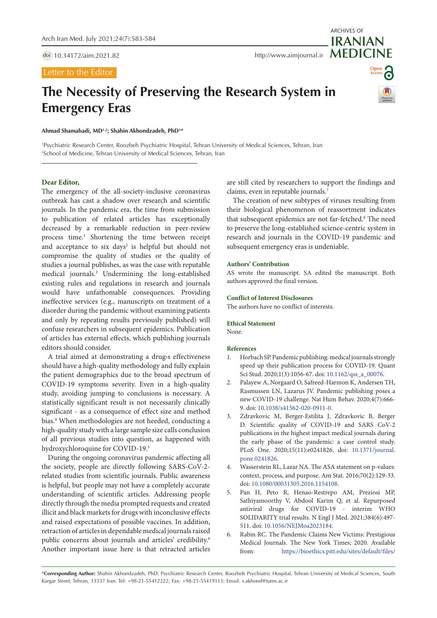doi [10.34172/aim.2021.82](https://doi.org/10.34172/aim.2021.82)

## Letter to the Editor

**Emergency Eras**

# **Open Access**

ARCHIVES OF

**IRANIAN**

**Ahmad Shamabadi, MD1,2; Shahin Akhondzadeh, PhD1 \***

1 Psychiatric Research Center, Roozbeh Psychiatric Hospital, Tehran University of Medical Sciences, Tehran, Iran 2 School of Medicine, Tehran University of Medical Sciences, Tehran, Iran

**The Necessity of Preserving the Research System in** 

## **Dear Editor,**

The emergency of the all-society-inclusive coronavirus outbreak has cast a shadow over research and scientific journals. In the pandemic era, the time from submission to publication of related articles has exceptionally decreased by a remarkable reduction in peer-review process time.<sup>1</sup> Shortening the time between receipt and acceptance to six days<sup>2</sup> is helpful but should not compromise the quality of studies or the quality of studies a journal publishes, as was the case with reputable medical journals.3 Undermining the long-established existing rules and regulations in research and journals would have unfathomable consequences. Providing ineffective services (e.g., manuscripts on treatment of a disorder during the pandemic without examining patients and only by repeating results previously published) will confuse researchers in subsequent epidemics. Publication of articles has external effects, which publishing journals editors should consider.

A trial aimed at demonstrating a drug›s effectiveness should have a high-quality methodology and fully explain the patient demographics due to the broad spectrum of COVID-19 symptoms severity. Even in a high-quality study, avoiding jumping to conclusions is necessary. A statistically significant result is not necessarily clinically significant - as a consequence of effect size and method bias.4 When methodologies are not heeded, conducting a high-quality study with a large sample size calls conclusion of all previous studies into question, as happened with hydroxychloroquine for COVID-19.5

During the ongoing coronavirus pandemic affecting all the society, people are directly following SARS-CoV-2 related studies from scientific journals. Public awareness is helpful, but people may not have a completely accurate understanding of scientific articles. Addressing people directly through the media prompted requests and created illicit and black markets for drugs with inconclusive effects and raised expectations of possible vaccines. In addition, retraction of articles in dependable medical journals raised public concerns about journals and articles' credibility.<sup>6</sup> Another important issue here is that retracted articles

are still cited by researchers to support the findings and claims, even in reputable journals.7

The creation of new subtypes of viruses resulting from their biological phenomenon of reassortment indicates that subsequent epidemics are not far-fetched.8 The need to preserve the long-established science-centric system in research and journals in the COVID-19 pandemic and subsequent emergency eras is undeniable.

### **Authors' Contribution**

AS wrote the manuscript. SA edited the manuscript. Both authors approved the final version.

#### **Conflict of Interest Disclosures**

The authors have no conflict of interests.

#### **Ethical Statement**

None.

#### **References**

- 1. Horbach SP. Pandemic publishing: medical journals strongly speed up their publication process for COVID-19. Quant Sci Stud. 2020;1(3):1056-67. doi: [10.1162/qss\\_a\\_00076.](https://doi.org/10.1162/qss_a_00076)
- 2. Palayew A, Norgaard O, Safreed-Harmon K, Andersen TH, Rasmussen LN, Lazarus JV. Pandemic publishing poses a new COVID-19 challenge. Nat Hum Behav. 2020;4(7):666- 9. doi: [10.1038/s41562-020-0911-0](https://doi.org/10.1038/s41562-020-0911-0).
- 3. Zdravkovic M, Berger-Estilita J, Zdravkovic B, Berger D. Scientific quality of COVID-19 and SARS CoV-2 publications in the highest impact medical journals during the early phase of the pandemic: a case control study. PLoS One. 2020;15(11):e0241826. doi: [10.1371/journal.](https://doi.org/10.1371/journal.pone.0241826) [pone.0241826](https://doi.org/10.1371/journal.pone.0241826).
- 4. Wasserstein RL, Lazar NA. The ASA statement on p-values: context, process, and purpose. Am Stat. 2016;70(2):129-33. doi: [10.1080/00031305.2016.1154108.](https://doi.org/10.1080/00031305.2016.1154108)
- 5. Pan H, Peto R, Henao-Restrepo AM, Preziosi MP, Sathiyamoorthy V, Abdool Karim Q, et al. Repurposed antiviral drugs for COVID-19 - interim WHO SOLIDARITY trial results. N Engl J Med. 2021;384(6):497- 511. doi: [10.1056/NEJMoa2023184](https://doi.org/10.1056/NEJMoa2023184).
- 6. Rabin RC. The Pandemic Claims New Victims: Prestigious Medical Journals. The New York Times; 2020. Available from: [https://bioethics.pitt.edu/sites/default/files/](https://bioethics.pitt.edu/sites/default/files/Pandemic_Claims_Victims.pdf)

\***Corresponding Author:** Shahin Akhondzadeh, PhD; Psychiatric Research Center, Roozbeh Psychiatric Hospital, Tehran University of Medical Sciences, South Kargar Street, Tehran, 13337 Iran. Tel: +98-21-55412222; Fax: +98-21-55419113; Email: s.akhond@tums.ac.ir